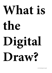# **What is the Digital Draw?**

www.drawingroom.org.uk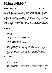# DRAWING ROOM

# **What is the Digital Draw?** #DigiDrawDR

Monday 18 April 2016

This seminar examines the challenges and opportunities posed by new digital processes and platforms to contemporary drawing. Bringing together key thinkers in the field, the day-long event will feature presentations and panel discussions exploring what 'the digital' means for drawing today. Contributors include: James Bridle, writer, artist and technologist; Douglas Dodds, Senior curator of V&A Digital Art Collection; Paul Flannery and Tim Steer, Opening Times co-founders; Rozsa Farkas, independent curator and founding director of Arcadia Missa; Professor Frederic Fol Leymarie, Professor of Computer Games and Entertainment at Goldsmiths College; Margarita Gluzberg, artist and reader in Contemporary Visual Production at the Royal College of Art; Charlotte Webb, artist and researcher; Lucy Sollitt, Creative Media Manager for Arts Council and an associate for Rhizome; Nimrod Vardi, curator and director of arebyte gallery. Chaired by Rachel Falconer, independent writer and curator. *What is the Digital Draw?* has been programmed by Laura Eldret, artist.

# **SCHEDULE**

10.30am: *What is the Digital Draw?* 

- **Introduction** *Laura Eldret*
- **Welcome and** *What do we mean by drawing today? Mary Doyle, Drawing Room co-director*
- **What do we mean by digital art?** *Rachel Falconer, independent writer and curator*
- **Early Computer Art**

*Douglas Dodds, Senior curator of V&A Digital Art Collection* Computer art of the 1960s and '70s is an important precursor to contemporary digital art practice. Dodds will provide a brief history, looking at how these digital pioneers worked directly with computer hardware and software to create increasingly sophisticated images. His talk will focus on artists such as Frieder Nake, Vera Molnar, Manfred Mohr, Harold Cohen, Paul Brown, Darrell Viner and Roman Verostko, all of whom used drawing machines to create their artworks.

11.30am: Tea break

# 11.45am: *Digital Mediums and Methods*

• **Drawing the Network**

Followed by Q & A.

*James Bridle, writer, artist and technologist* Bridle will talk about art and the internet, and 'The New Aesthetic'. He will discuss what it means to draw the contemporary world in all its complexity and occasional invisibility.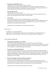#### • **Drawing on and behind the screen**

*Paul Flannery and Tim Steer, Opening Times co-founders* Addressing the open-ended nature of digital practice in relation to drawing – how digital production affords multiple and simultaneous kinds of media and what it might mean to 'draw' within a digital landscape that allows different and blurred medias.

#### • **Drawing with the Web**

*Charlotte Webb, artist and researcher*

Webb will discuss the generative potential of using the web as a medium and location for art practice. She will question what it means to 'draw' with data.

#### • **Text & Craft**

*Rozsa Farkas, independent curator and founding director of Arcadia Missa* Rozsa will talk about artists after the internet as engaging with a form of recrafting and narrativebased practices. Looking at the way that representations of 'women's work', tied with text, is presented in some feminist online practices.

Followed by Q & A panel discussion chaired by Rachel Falconer

#### 1.30pm: Lunch

Available to view in the Outset Study:

*Cognitive Bias: Visual thinking for a digital age.* Plan chest display curated by Rachel Falconer *Flickr Nude or Noodle Descending a Staircase* (2013), Charlotte Webb's web application.

#### 2.30pm: *Humans and Networks*

#### • **Organisational Approaches to Art Online**

*Lucy Sollitt, Creative Media Manager for Arts Council and an associate for Rhizome* How are organisations like the Drawing Room relating to networked art and audiences? Lucy will explore shifts between distribution and circulation in the ways arts organisations, including Arts Council England, are approaching programming online.

#### • **Perception, Computing and Robotics**

*Frederic Fol Leymarie, Professor of Computer Games and Entertainment at Goldsmiths College* Frederic will discuss how studies in visual perception intersect with the practice of drawing, what insights and challenges this may provide, and how computing offers a playpen to test models and ideas, while robotics offer an extended reach to better understand human behaviours by the embodiment of such models.

#### • **Between Technology, the Body and Human Experience**

*Nimrod Vardi, curator and director of arebyte gallery* Vardi will examine the relationship between technology, the body and human experience. Focusing on notions of freedom and how rules are constructed, tested and broken in internet art all areas that he is exploring in arebyte curatorial theme for 2016 'Legal Aesthetics'.

Followed by Q & A panel discussion chaired by Lucy Sollitt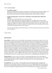# 4.15pm: *Devolving Digital*

## • **The Digital Analogue**

Margarita Gluzberg, artist & reader in Contemporary Visual Production at the Royal College of Art By looking at contemporary and historical visual territories, this presentation questions the distinction between that which is defined as digital and that which is defined as analogue.

• **'Doing something again is not the same as still doing it' Drawing like before Digital after Digital?**

#### *Klaus Speidel, art and image theorist, art critic and curator*

Examines relationships between drawing and digital: how the digital aspect of the world has become a subject for drawing; how digital tools allow new drawing practices to emerge; how their regular use of digital tools may have transformed the drawings of artists who still (or again) draw traditionally and how everybody's constant use of digital tools may have transformed the ways the world looks at drawings not made with computers.

Summary of proceedings by chair Rachel Falconer, and Q & A plenary panel discussion with all the day's contributors

5.30pm: Drinks

# **BIOGRAPHIES**

**James Bridle** is a British writer, artist, publisher and technologist currently based in Athens, Greece. His work covers the intersection of literature, culture and the network. His work has been shown in solo and group shows worldwide, and he has been commissioned by organisations including the Victoria & Albert Museum, The Southbank Centre, the Photographer's Gallery, Artangel, the Istanbul Design Biennial, the Oslo Architecture Triennale and Guimaraes 2012 European City of Culture. He received an Honorary Mention at the Prix Ars Electronica 2013, and in 2014 he was awarded the Excellence Award at the Japan Media Arts Festival, the Graphics Award at the Design Museum Designs of the Year. He has been a resident at Lighthouse (Brighton), the White Building (London) and Eyebeam (New York), and an adjunct professor on the Interactive Telecommunications Programme at New York University. In 2011, he coined the term 'New Aesthetic', and his ongoing research has been discussed worldwide. He has written for *the Guardian*, *White Review*, *Frieze*, *WIRED*, *ICON*, *Domus*, *Cabinet, The Atlantic*, *New Statesman* and many other publications, and wrote a regular column for the *Observer* on publishing and technology (2011-15).

**Douglas Dodds** is a Senior Curator in the V&A's Word & Image Department. He is responsible for developing the Department's digital art collections, which range from early computer art to recent digital works. Douglas also leads a project to digitise the Department's prints, drawings, paintings and photograph collections.

**Drawing Room** is the only public, non-profit gallery in Europe dedicated to the investigation and presentation of contemporary drawing. Initiated in 2002 by curators **Mary Doyle**, Kate Macfarlane and Katharine Stout Drawing Room delivers an ambitious programme of solo, group and touring exhibitions that include established, emerging and historical artists. The programme incorporates a wide range of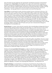ideas and media, from the traditional to the experimental, expanding the parameters of international drawing practices. **Outset Study** is Drawing Room's free, open-access research hub comprising of a specialist contemporary drawing library and study room. Online resources are also available, including videos, essays, study lists, exhibition guides, artist directory and Outset Study library catalogue. Drawing Room strives to provide a unique resource for the promotion of drawing, its practice, theory and methodology – proving opportunities to examine, produce and research drawing today.

**Laura Eldret** is an artist based in London. Solo shows include *The Juicers 50/50* and *3| The Juicers 1/50* (2015) for Fig-2 at ICA, London; *Gotas* (2015), Annka Kultys Gallery, London; *Hey!* (2014); *Rough Play, South London Gallery* (2013); *Power Plays*, The Gallery, Bournemouth (2012); and a residency at Camden Arts Centre (2011). Group exhibitions include Ikon, Birmingham; Drawing Room, London; Focal Point Gallery, Southend-on-Sea; Crown Street Gallery, Darlington; Jerwood Project Space, London; Glasgow International; Musée des Beaux-arts de Nantes, France; BALTIC, Gateshead; and Five Hundred Dollars, London. She was also co-founder and co-director of CollectingLiveArt (2007–10). Eldret's disparate practice spans performances, video, drawing and textiles. She explores the production of materials and events as a process of social exchange, and the agency of art within a broad cultural sphere. She is currently developing a 'digital' commission with UP Projects and is part-time Communications Manager for Drawing Room. www.lauraeldret.com

**Rachel Falconer** is a curator, writer and active researcher with an interdisciplinary background in fine art, industrial design, gaming, broadcast media and viral advertising. As a curator her focus is on the critical intersections of process-led practices, including; Post-War contemporary art, neuroscience and AI, distributed information systems, speculative architecture, convergence technologies, software studies and networked culture. She has conceived and delivered multi-scale interdisciplinary exhibitions and alternative curatorial frameworks for organisations including Furtherfield, V&A, Barbican and the RCA, and has been invited to speak at and chair critical public debate in her field for institutions such as Tate, Goethe Institute, Mozilla Fest and the Nordic Culture Point. Her writing has been published across a number of platforms including Routledge, Dazed Digital, The White Review, and the Guardian.

**Rózsa Zita Farkas** is a curator and the founder of Arcadia Missa gallery and publisher. Rozsa has curated and co-curated various projects and exhibitions such as *Rehearsals in Instability* for Vienna's 'Curated By' festival (2015), *The Posthuman Era Became a Girl* at the South London Gallery (2014) and *Re-Materialising Feminism* project across the ICA and other spaces (2014 & 2015). She has recently curated *Ways of Living* at David Roberts Art Foundation, and *Finding the Body* symposium at Central Saint Martin's. She is associate lecturer for MA Fine Art, Chelsea College of Art and for BA Fine Art Dissertations at Camberwell College of Arts (both UAL).

Professor of Computing **Frederic Fol Leymarie** is co-director of the Post-Graduate program MSc Computer Games and Entertainment at Goldsmiths College, which he founded with William Latham in 2008. He previously created and led the MSc Arts Computing (2004–07). He received his B.Eng. in Electrical Engineering, with honors in aeronautics, from the University of Montreal, his M.Eng. from McGill University in Computer Vision and Biomedical imagery, and his Ph.D. from Brown University (in 3D shape representation and computational geometry). Frederic has initiated several 'shape-based' projects mixing the Arts, Humanities, Social Sciences, and Computing, including CyberCity and CyberMonument (late 1990s), Digital sculpting (with the Mid-Ocean Studio, 2002-5), and Digital archaeology (co-founder of the SHAPE lab. at Brown University, established in 1999). He has co-founded and directed two R&D projects: AIkon focused on sketching and portraiture, and AutoGraff focused on graffiti and calligraphy. www.gold.ac.uk/computing/staff/f-folleymarie/ www.folleymarie.com

**Margarita Gluzberg** is currently Reader in Contemporary Visual Production, Royal College of Art, London. Solo exhibitions include: *Consumystic*, Unseen Photo Fair, Amsterdam (2012); *Avenue des Gobelins*, Paradise Row, London (2011); *Phonographicon*, Zonca&Zonca, Milan (2010), *Captive Bird*